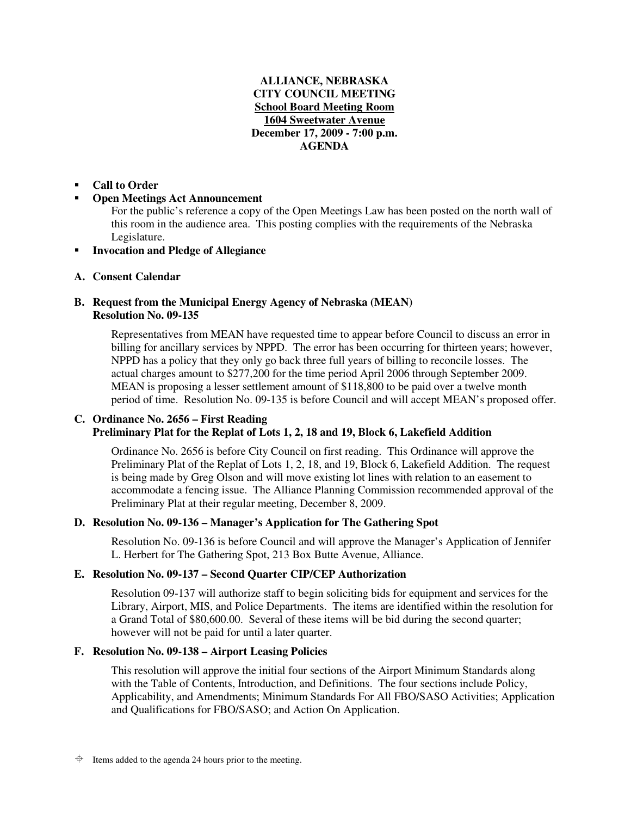# **ALLIANCE, NEBRASKA CITY COUNCIL MEETING School Board Meeting Room 1604 Sweetwater Avenue December 17, 2009 - 7:00 p.m. AGENDA**

#### -**Call to Order**

#### -**Open Meetings Act Announcement**

For the public's reference a copy of the Open Meetings Law has been posted on the north wall of this room in the audience area. This posting complies with the requirements of the Nebraska Legislature.

-**Invocation and Pledge of Allegiance**

# **A. Consent Calendar**

### **B. Request from the Municipal Energy Agency of Nebraska (MEAN) Resolution No. 09-135**

Representatives from MEAN have requested time to appear before Council to discuss an error in billing for ancillary services by NPPD. The error has been occurring for thirteen years; however, NPPD has a policy that they only go back three full years of billing to reconcile losses. The actual charges amount to \$277,200 for the time period April 2006 through September 2009. MEAN is proposing a lesser settlement amount of \$118,800 to be paid over a twelve month period of time. Resolution No. 09-135 is before Council and will accept MEAN's proposed offer.

# **C. Ordinance No. 2656 – First Reading Preliminary Plat for the Replat of Lots 1, 2, 18 and 19, Block 6, Lakefield Addition**

Ordinance No. 2656 is before City Council on first reading. This Ordinance will approve the Preliminary Plat of the Replat of Lots 1, 2, 18, and 19, Block 6, Lakefield Addition. The request is being made by Greg Olson and will move existing lot lines with relation to an easement to accommodate a fencing issue. The Alliance Planning Commission recommended approval of the Preliminary Plat at their regular meeting, December 8, 2009.

### **D. Resolution No. 09-136 – Manager's Application for The Gathering Spot**

Resolution No. 09-136 is before Council and will approve the Manager's Application of Jennifer L. Herbert for The Gathering Spot, 213 Box Butte Avenue, Alliance.

### **E. Resolution No. 09-137 – Second Quarter CIP/CEP Authorization**

Resolution 09-137 will authorize staff to begin soliciting bids for equipment and services for the Library, Airport, MIS, and Police Departments. The items are identified within the resolution for a Grand Total of \$80,600.00. Several of these items will be bid during the second quarter; however will not be paid for until a later quarter.

# **F. Resolution No. 09-138 – Airport Leasing Policies**

This resolution will approve the initial four sections of the Airport Minimum Standards along with the Table of Contents, Introduction, and Definitions. The four sections include Policy, Applicability, and Amendments; Minimum Standards For All FBO/SASO Activities; Application and Qualifications for FBO/SASO; and Action On Application.